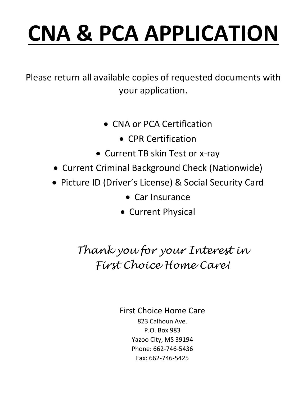# **CNA & PCA APPLICATION**

Please return all available copies of requested documents with your application.

- CNA or PCA Certification
	- CPR Certification
- Current TB skin Test or x-ray
- Current Criminal Background Check (Nationwide)
- Picture ID (Driver's License) & Social Security Card
	- Car Insurance
	- Current Physical

*Thank you for your Interest in First Choice Home Care!*

> First Choice Home Care 823 Calhoun Ave. P.O. Box 983 Yazoo City, MS 39194 Phone: 662-746-5436 Fax: 662-746-5425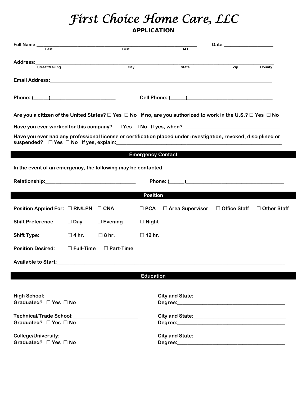## *First Choice Home Care, LLC*

### APPLICATION

| Full Name:                                                                                                                                                                                                                     |                  |                   |                  |                                                                                                                                  | Date: and the contract of the contract of the contract of the contract of the contract of the contract of the contract of the contract of the contract of the contract of the contract of the contract of the contract of the |                    |
|--------------------------------------------------------------------------------------------------------------------------------------------------------------------------------------------------------------------------------|------------------|-------------------|------------------|----------------------------------------------------------------------------------------------------------------------------------|-------------------------------------------------------------------------------------------------------------------------------------------------------------------------------------------------------------------------------|--------------------|
| Last                                                                                                                                                                                                                           |                  | First             |                  | M.I.                                                                                                                             |                                                                                                                                                                                                                               |                    |
| Address:                                                                                                                                                                                                                       |                  |                   |                  |                                                                                                                                  |                                                                                                                                                                                                                               |                    |
| Street/Mailing                                                                                                                                                                                                                 |                  | $\overline{City}$ |                  | State                                                                                                                            | Zip                                                                                                                                                                                                                           | County             |
|                                                                                                                                                                                                                                |                  |                   |                  |                                                                                                                                  |                                                                                                                                                                                                                               |                    |
|                                                                                                                                                                                                                                |                  |                   |                  |                                                                                                                                  |                                                                                                                                                                                                                               |                    |
|                                                                                                                                                                                                                                |                  |                   |                  |                                                                                                                                  |                                                                                                                                                                                                                               |                    |
|                                                                                                                                                                                                                                |                  |                   |                  |                                                                                                                                  |                                                                                                                                                                                                                               |                    |
|                                                                                                                                                                                                                                |                  |                   |                  |                                                                                                                                  |                                                                                                                                                                                                                               |                    |
|                                                                                                                                                                                                                                |                  |                   |                  | Are you a citizen of the United States? $\Box$ Yes $\Box$ No If no, are you authorized to work in the U.S.? $\Box$ Yes $\Box$ No |                                                                                                                                                                                                                               |                    |
|                                                                                                                                                                                                                                |                  |                   |                  |                                                                                                                                  |                                                                                                                                                                                                                               |                    |
|                                                                                                                                                                                                                                |                  |                   |                  | Have you ever had any professional license or certification placed under investigation, revoked, disciplined or                  |                                                                                                                                                                                                                               |                    |
|                                                                                                                                                                                                                                |                  |                   |                  |                                                                                                                                  |                                                                                                                                                                                                                               |                    |
|                                                                                                                                                                                                                                |                  |                   |                  |                                                                                                                                  |                                                                                                                                                                                                                               |                    |
|                                                                                                                                                                                                                                |                  |                   |                  | <b>Emergency Contact Emergency Contact</b>                                                                                       |                                                                                                                                                                                                                               |                    |
|                                                                                                                                                                                                                                |                  |                   |                  |                                                                                                                                  |                                                                                                                                                                                                                               |                    |
|                                                                                                                                                                                                                                |                  |                   |                  |                                                                                                                                  |                                                                                                                                                                                                                               |                    |
| Relationship: Management of the state of the state of the state of the state of the state of the state of the state of the state of the state of the state of the state of the state of the state of the state of the state of |                  |                   |                  | Phone: ( )                                                                                                                       |                                                                                                                                                                                                                               |                    |
|                                                                                                                                                                                                                                |                  |                   | <b>Position</b>  |                                                                                                                                  |                                                                                                                                                                                                                               |                    |
|                                                                                                                                                                                                                                |                  |                   |                  |                                                                                                                                  |                                                                                                                                                                                                                               |                    |
| Position Applied For: □ RN/LPN                                                                                                                                                                                                 |                  | $\square$ CNA     | $\Box$ PCA       | $\square$ Area Supervisor                                                                                                        | □ Office Staff                                                                                                                                                                                                                | $\Box$ Other Staff |
|                                                                                                                                                                                                                                |                  |                   |                  |                                                                                                                                  |                                                                                                                                                                                                                               |                    |
| <b>Shift Preference:</b>                                                                                                                                                                                                       | $\Box$ Day       | $\Box$ Evening    | $\Box$ Night     |                                                                                                                                  |                                                                                                                                                                                                                               |                    |
| <b>Shift Type:</b>                                                                                                                                                                                                             | $\square$ 4 hr.  | $\square$ 8 hr.   | $\square$ 12 hr. |                                                                                                                                  |                                                                                                                                                                                                                               |                    |
|                                                                                                                                                                                                                                |                  |                   |                  |                                                                                                                                  |                                                                                                                                                                                                                               |                    |
| <b>Position Desired:</b>                                                                                                                                                                                                       | $\Box$ Full-Time | $\Box$ Part-Time  |                  |                                                                                                                                  |                                                                                                                                                                                                                               |                    |
| <b>Available to Start:</b>                                                                                                                                                                                                     |                  |                   |                  |                                                                                                                                  |                                                                                                                                                                                                                               |                    |
|                                                                                                                                                                                                                                |                  |                   |                  |                                                                                                                                  |                                                                                                                                                                                                                               |                    |
|                                                                                                                                                                                                                                |                  |                   | <b>Education</b> |                                                                                                                                  |                                                                                                                                                                                                                               |                    |
|                                                                                                                                                                                                                                |                  |                   |                  |                                                                                                                                  |                                                                                                                                                                                                                               |                    |
|                                                                                                                                                                                                                                |                  |                   |                  |                                                                                                                                  |                                                                                                                                                                                                                               |                    |
| Graduated? □ Yes □ No                                                                                                                                                                                                          |                  |                   |                  |                                                                                                                                  |                                                                                                                                                                                                                               |                    |
|                                                                                                                                                                                                                                |                  |                   |                  |                                                                                                                                  |                                                                                                                                                                                                                               |                    |
|                                                                                                                                                                                                                                |                  |                   |                  |                                                                                                                                  |                                                                                                                                                                                                                               |                    |
| Graduated? $\Box$ Yes $\Box$ No                                                                                                                                                                                                |                  |                   |                  |                                                                                                                                  |                                                                                                                                                                                                                               |                    |
|                                                                                                                                                                                                                                |                  |                   |                  |                                                                                                                                  |                                                                                                                                                                                                                               |                    |
| Graduated? $\Box$ Yes $\Box$ No                                                                                                                                                                                                |                  |                   |                  |                                                                                                                                  |                                                                                                                                                                                                                               |                    |
|                                                                                                                                                                                                                                |                  |                   |                  |                                                                                                                                  |                                                                                                                                                                                                                               |                    |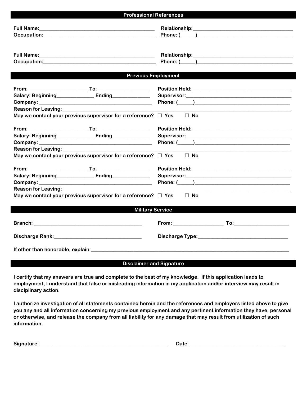| <b>Professional References</b>                                                                                                                   |                                                                                                                                                                                                                                |  |  |
|--------------------------------------------------------------------------------------------------------------------------------------------------|--------------------------------------------------------------------------------------------------------------------------------------------------------------------------------------------------------------------------------|--|--|
|                                                                                                                                                  |                                                                                                                                                                                                                                |  |  |
|                                                                                                                                                  | Relationship: Management of the Contract of the Contract of the Contract of the Contract of the Contract of the Contract of the Contract of the Contract of the Contract of the Contract of the Contract of the Contract of th |  |  |
| <b>Previous Employment</b>                                                                                                                       |                                                                                                                                                                                                                                |  |  |
| Salary: Beginning Ending<br>Reason for Leaving: ______________<br>May we contact your previous supervisor for a reference? $\Box$ Yes            | $\Box$ No                                                                                                                                                                                                                      |  |  |
| Salary: Beginning Ending Ending<br>May we contact your previous supervisor for a reference? $\Box$ Yes $\Box$ No                                 |                                                                                                                                                                                                                                |  |  |
| Salary: Beginning Ending Ending<br>May we contact your previous supervisor for a reference? $\Box$ Yes $\Box$ No                                 | Phone: ( <u>)</u>                                                                                                                                                                                                              |  |  |
| <b>Military Service</b>                                                                                                                          |                                                                                                                                                                                                                                |  |  |
|                                                                                                                                                  |                                                                                                                                                                                                                                |  |  |
|                                                                                                                                                  |                                                                                                                                                                                                                                |  |  |
| If other than honorable, explain: example and a series of the state of the state of the state of the state of<br><b>Disclaimer and Signature</b> |                                                                                                                                                                                                                                |  |  |

**I certify that my answers are true and complete to the best of my knowledge. If this application leads to employment, I understand that false or misleading information in my application and/or interview may result in disciplinary action.**

**I authorize investigation of all statements contained herein and the references and employers listed above to give you any and all information concerning my previous employment and any pertinent information they have, personal or otherwise, and release the company from all liability for any damage that may result from utilization of such information.**

| Signature:<br>$- - - -$<br>$  -$ |  |
|----------------------------------|--|
|----------------------------------|--|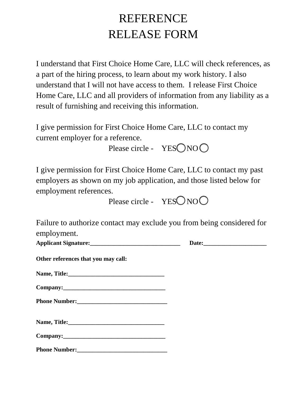## REFERENCE RELEASE FORM

I understand that First Choice Home Care, LLC will check references, as a part of the hiring process, to learn about my work history. I also understand that I will not have access to them. I release First Choice Home Care, LLC and all providers of information from any liability as a result of furnishing and receiving this information.

I give permission for First Choice Home Care, LLC to contact my current employer for a reference.

Please circle -  $YESONOO$ 

I give permission for First Choice Home Care, LLC to contact my past employers as shown on my job application, and those listed below for employment references.

Please circle -  $YESONOO$ 

Failure to authorize contact may exclude you from being considered for employment.

| <b>Applicant Signature:</b> | <b>Date:</b> |
|-----------------------------|--------------|
|-----------------------------|--------------|

**Other references that you may call:**

| Name, Title: |  |  |
|--------------|--|--|
|              |  |  |

| Company: |  |
|----------|--|
|----------|--|

**Phone Number:\_\_\_\_\_\_\_\_\_\_\_\_\_\_\_\_\_\_\_\_\_\_\_\_\_\_\_\_\_\_** 

| Name, Title: |  |  |  |
|--------------|--|--|--|
|--------------|--|--|--|

| Company: |
|----------|
|----------|

**Phone Number:\_\_\_\_\_\_\_\_\_\_\_\_\_\_\_\_\_\_\_\_\_\_\_\_\_\_\_\_\_\_**